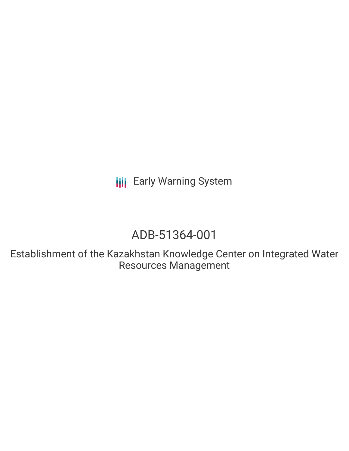**III** Early Warning System

# ADB-51364-001

Establishment of the Kazakhstan Knowledge Center on Integrated Water Resources Management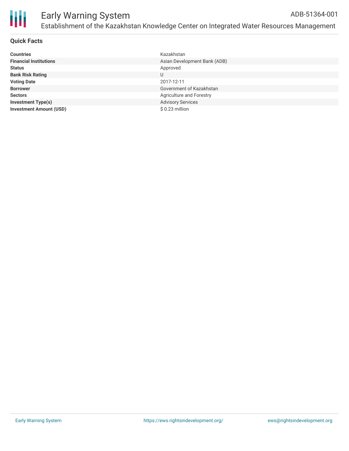

## **Quick Facts**

| <b>Countries</b>               | Kazakhstan                   |
|--------------------------------|------------------------------|
| <b>Financial Institutions</b>  | Asian Development Bank (ADB) |
| <b>Status</b>                  | Approved                     |
| <b>Bank Risk Rating</b>        | U                            |
| <b>Voting Date</b>             | 2017-12-11                   |
| <b>Borrower</b>                | Government of Kazakhstan     |
| <b>Sectors</b>                 | Agriculture and Forestry     |
| <b>Investment Type(s)</b>      | <b>Advisory Services</b>     |
| <b>Investment Amount (USD)</b> | \$0.23 million               |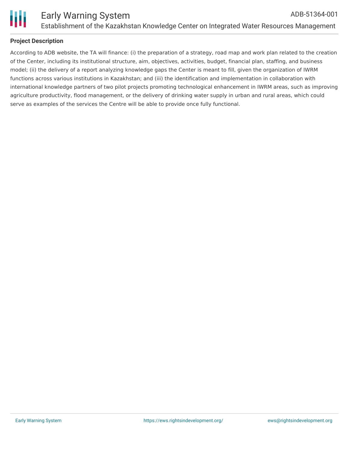

### **Project Description**

According to ADB website, the TA will finance: (i) the preparation of a strategy, road map and work plan related to the creation of the Center, including its institutional structure, aim, objectives, activities, budget, financial plan, staffing, and business model; (ii) the delivery of a report analyzing knowledge gaps the Center is meant to fill, given the organization of IWRM functions across various institutions in Kazakhstan; and (iii) the identification and implementation in collaboration with international knowledge partners of two pilot projects promoting technological enhancement in IWRM areas, such as improving agriculture productivity, flood management, or the delivery of drinking water supply in urban and rural areas, which could serve as examples of the services the Centre will be able to provide once fully functional.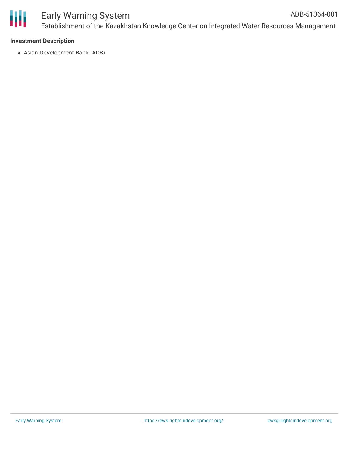

#### **Investment Description**

Asian Development Bank (ADB)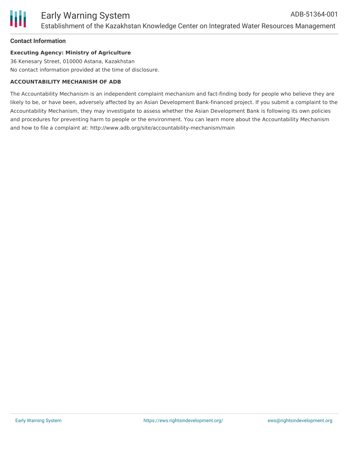#### **Contact Information**

#### **Executing Agency: Ministry of Agriculture**

36 Kenesary Street, 010000 Astana, Kazakhstan No contact information provided at the time of disclosure.

#### **ACCOUNTABILITY MECHANISM OF ADB**

The Accountability Mechanism is an independent complaint mechanism and fact-finding body for people who believe they are likely to be, or have been, adversely affected by an Asian Development Bank-financed project. If you submit a complaint to the Accountability Mechanism, they may investigate to assess whether the Asian Development Bank is following its own policies and procedures for preventing harm to people or the environment. You can learn more about the Accountability Mechanism and how to file a complaint at: http://www.adb.org/site/accountability-mechanism/main